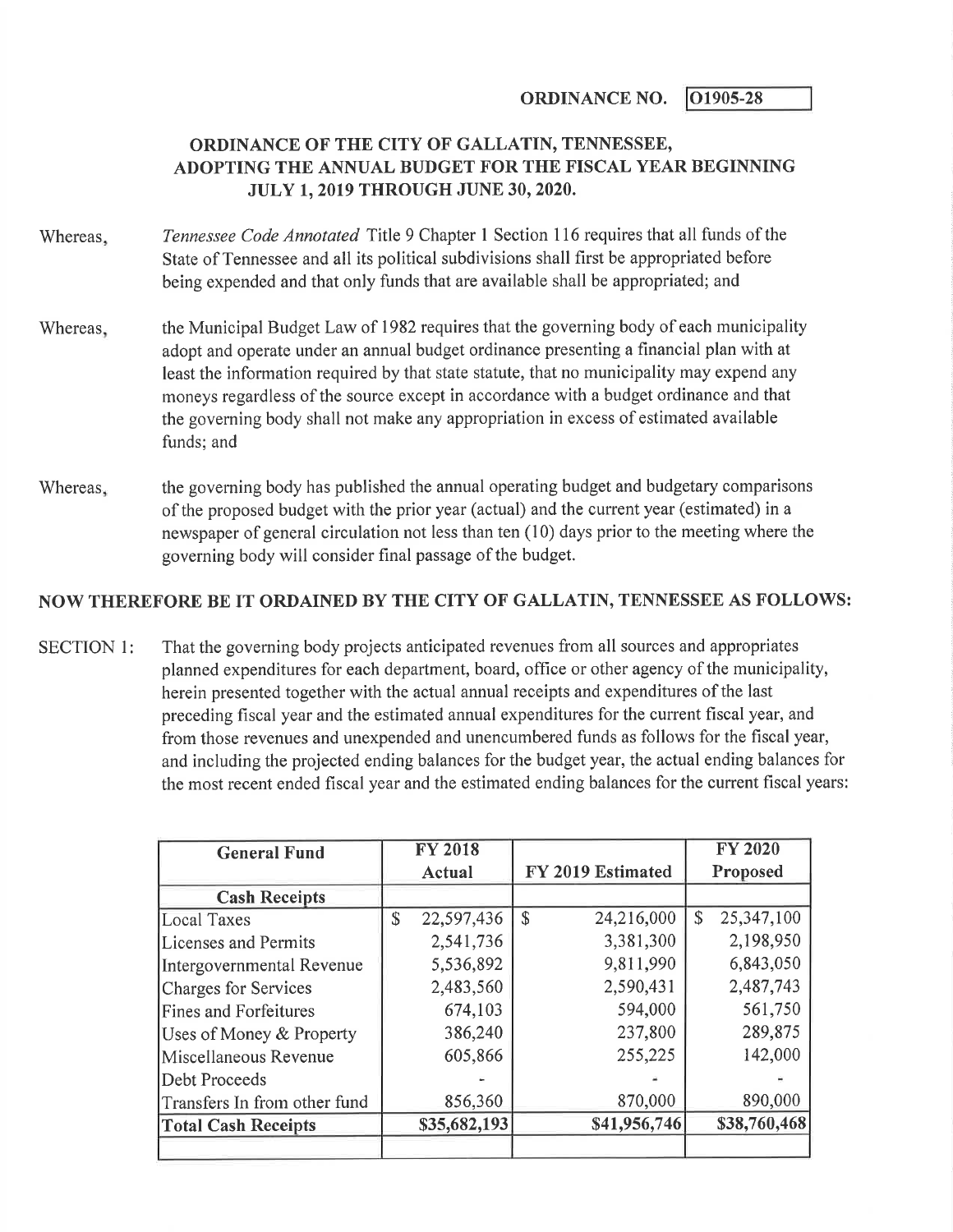ORDINANCE NO.  $\vert$  01905-28

## ORDINANCE OF THE CITY OF GALLATIN, TENNESSEE, ADOPTING THE ANNUAL BUDGET FOR THE FISCAL YEAR BEGINNING JULY 1,2019 THROUGH JUNE 30,2020.

- Whereas. Tennessee Code Annotated Title 9 Chapter 1 Section 116 requires that all funds of the State of Tennessee and all its political subdivisions shall first be appropriated before being expended and that only funds that are available shall be appropriated; and
- Whereas, the Municipal Budget Law of 1982 requires that the governing body of each municipality adopt and operate under an annual budget ordinance presenting a financial plan with at least the information required by that state statute, that no municipality may expend any moneys regardless of the source except in accordance with a budget ordinance and that the governing body shall not make any appropriation in excess of estimated available funds; and
- Whereas, the governing body has published the annual operating budget and budgetary comparisons of the proposed budget with the prior year (actual) and the current year (estimated) in a newspaper of general circulation not less than ten (10) days prior to the meeting where the governing body will consider final passage of the budget.

## NOW THEREFORE BE IT ORDAINED BY THE CITY OF GALLATIN, TENNESSEE AS FOLLOWS:

SECTION I: That the governing body projects anticipated revenues from all sources and appropriates planned expenditures for each department, board, office or other agency of the municipality, herein presented together with the actual annual receipts and expenditures of the last preceding fiscal year and the estimated annual expenditures for the current fiscal year, and from those revenues and unexpended and unencumbered funds as follows for the fiscal year, and including the projected ending balances for the budget year, the actual ending balances for the most recent ended fiscal year and the estimated ending balances for the current fiscal years:

| <b>General Fund</b>          | <b>FY 2018</b>   |               |                   |    | <b>FY 2020</b> |
|------------------------------|------------------|---------------|-------------------|----|----------------|
|                              | Actual           |               | FY 2019 Estimated |    | Proposed       |
| <b>Cash Receipts</b>         |                  |               |                   |    |                |
| <b>Local Taxes</b>           | \$<br>22,597,436 | $\mathcal{S}$ | 24,216,000        | \$ | 25,347,100     |
| Licenses and Permits         | 2,541,736        |               | 3,381,300         |    | 2,198,950      |
| Intergovernmental Revenue    | 5,536,892        |               | 9,811,990         |    | 6,843,050      |
| Charges for Services         | 2,483,560        |               | 2,590,431         |    | 2,487,743      |
| <b>Fines and Forfeitures</b> | 674,103          |               | 594,000           |    | 561,750        |
| Uses of Money & Property     | 386,240          |               | 237,800           |    | 289,875        |
| Miscellaneous Revenue        | 605,866          |               | 255,225           |    | 142,000        |
| Debt Proceeds                |                  |               |                   |    |                |
| Transfers In from other fund | 856,360          |               | 870,000           |    | 890,000        |
| <b>Total Cash Receipts</b>   | \$35,682,193     |               | \$41,956,746      |    | \$38,760,468   |
|                              |                  |               |                   |    |                |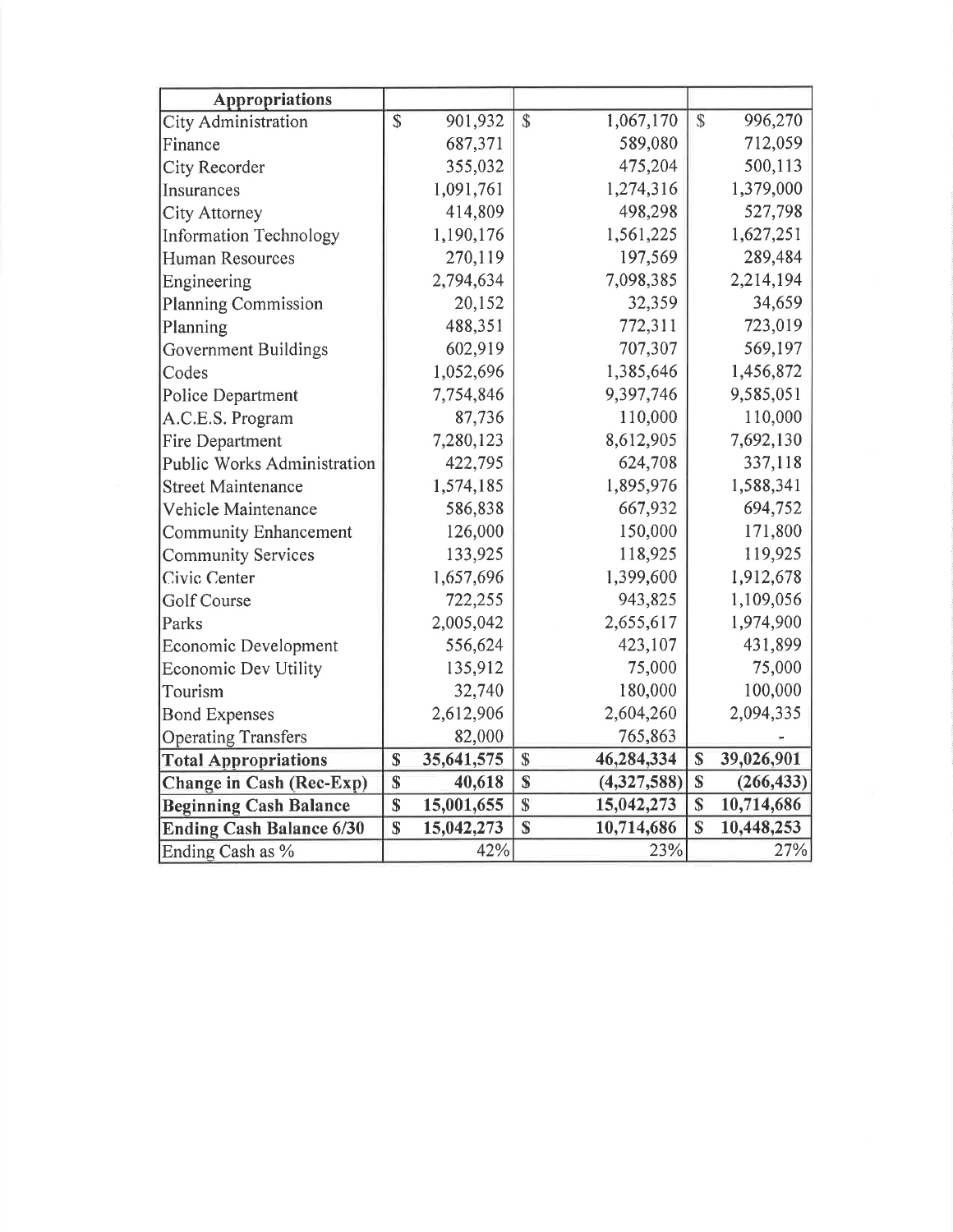| <b>Appropriations</b>              |                         |            |               |             |                         |            |
|------------------------------------|-------------------------|------------|---------------|-------------|-------------------------|------------|
| <b>City Administration</b>         | \$                      | 901,932    | $\mathcal{S}$ | 1,067,170   | $\overline{\mathbb{S}}$ | 996,270    |
| Finance                            |                         | 687,371    |               | 589,080     |                         | 712,059    |
| City Recorder                      |                         | 355,032    |               | 475,204     |                         | 500,113    |
| Insurances                         |                         | 1,091,761  |               | 1,274,316   |                         | 1,379,000  |
| <b>City Attorney</b>               |                         | 414,809    |               | 498,298     |                         | 527,798    |
| Information Technology             |                         | 1,190,176  |               | 1,561,225   |                         | 1,627,251  |
| Human Resources                    |                         | 270,119    |               | 197,569     |                         | 289,484    |
| Engineering                        |                         | 2,794,634  |               | 7,098,385   |                         | 2,214,194  |
| Planning Commission                |                         | 20,152     |               | 32,359      |                         | 34,659     |
| Planning                           |                         | 488,351    |               | 772,311     |                         | 723,019    |
| Government Buildings               |                         | 602,919    |               | 707,307     |                         | 569,197    |
| Codes                              |                         | 1,052,696  |               | 1,385,646   |                         | 1,456,872  |
| Police Department                  |                         | 7,754,846  |               | 9,397,746   |                         | 9,585,051  |
| A.C.E.S. Program                   |                         | 87,736     |               | 110,000     |                         | 110,000    |
| Fire Department                    |                         | 7,280,123  |               | 8,612,905   |                         | 7,692,130  |
| <b>Public Works Administration</b> |                         | 422,795    |               | 624,708     |                         | 337,118    |
| <b>Street Maintenance</b>          |                         | 1,574,185  |               | 1,895,976   |                         | 1,588,341  |
| Vehicle Maintenance                |                         | 586,838    |               | 667,932     |                         | 694,752    |
| <b>Community Enhancement</b>       |                         | 126,000    |               | 150,000     |                         | 171,800    |
| <b>Community Services</b>          |                         | 133,925    |               | 118,925     |                         | 119,925    |
| Civic Center                       |                         | 1,657,696  |               | 1,399,600   |                         | 1,912,678  |
| <b>Golf Course</b>                 |                         | 722,255    |               | 943,825     |                         | 1,109,056  |
| Parks                              |                         | 2,005,042  |               | 2,655,617   |                         | 1,974,900  |
| Economic Development               |                         | 556,624    |               | 423,107     |                         | 431,899    |
| <b>Economic Dev Utility</b>        |                         | 135,912    |               | 75,000      |                         | 75,000     |
| Tourism                            |                         | 32,740     |               | 180,000     |                         | 100,000    |
| <b>Bond Expenses</b>               |                         | 2,612,906  |               | 2,604,260   |                         | 2,094,335  |
| <b>Operating Transfers</b>         |                         | 82,000     |               | 765,863     |                         |            |
| <b>Total Appropriations</b>        | \$                      | 35,641,575 | \$            | 46,284,334  | \$                      | 39,026,901 |
| Change in Cash (Rec-Exp)           | $\overline{\mathbb{S}}$ | 40,618     | \$            | (4,327,588) | \$                      | (266, 433) |
| <b>Beginning Cash Balance</b>      | \$                      | 15,001,655 | \$            | 15,042,273  | \$                      | 10,714,686 |
| <b>Ending Cash Balance 6/30</b>    | \$                      | 15,042,273 | \$            | 10,714,686  | \$                      | 10,448,253 |
| Ending Cash as %                   |                         | 42%        |               | 23%         |                         | 27%        |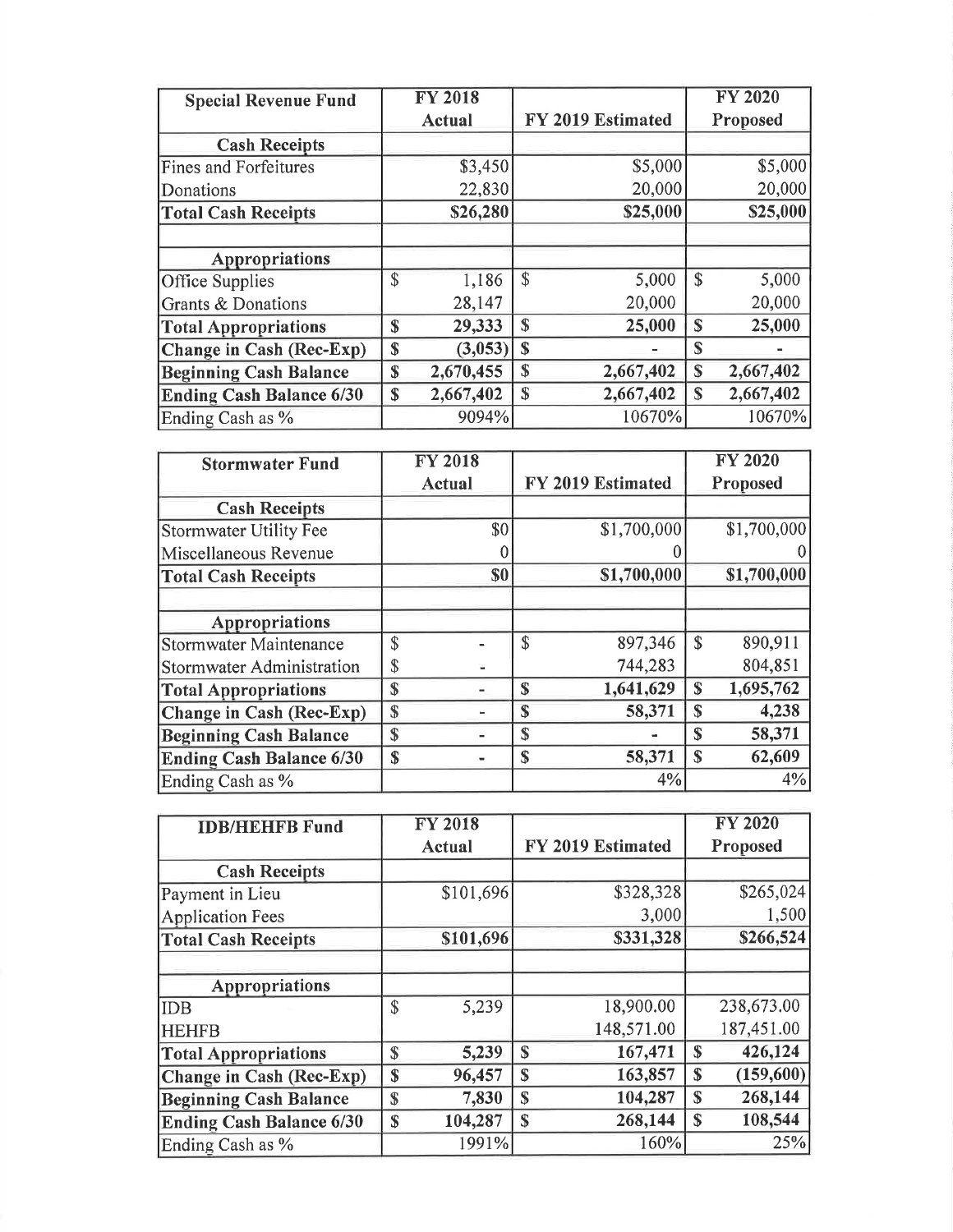| <b>Special Revenue Fund</b>     | <b>FY 2018</b>  |                       |                    | <b>FY 2020</b> |
|---------------------------------|-----------------|-----------------------|--------------------|----------------|
|                                 | <b>Actual</b>   | FY 2019 Estimated     |                    | Proposed       |
| <b>Cash Receipts</b>            |                 |                       |                    |                |
| <b>Fines and Forfeitures</b>    | \$3,450         | \$5,000               |                    | \$5,000        |
| Donations                       | 22,830          | 20,000                |                    | 20,000         |
| <b>Total Cash Receipts</b>      | \$26,280        | \$25,000              |                    | \$25,000       |
| <b>Appropriations</b>           |                 |                       |                    |                |
| Office Supplies                 | \$<br>1,186     | $\mathbb{S}$<br>5,000 | $\mathbf{\hat{S}}$ | 5,000          |
| Grants & Donations              | 28,147          | 20,000                |                    | 20,000         |
| <b>Total Appropriations</b>     | \$<br>29,333    | \$<br>25,000          | $\mathbf S$        | 25,000         |
| Change in Cash (Rec-Exp)        | \$<br>(3,053)   | $\mathbf{\$}$         | S                  |                |
| <b>Beginning Cash Balance</b>   | \$<br>2,670,455 | 2,667,402<br>\$       | \$                 | 2,667,402      |
| <b>Ending Cash Balance 6/30</b> | \$<br>2,667,402 | 2,667,402<br>S        | S                  | 2,667,402      |
| Ending Cash as %                | 9094%           | 10670%                |                    | 10670%         |
|                                 |                 |                       |                    |                |
| <b>Stormwater Fund</b>          | <b>FY 2018</b>  |                       |                    | <b>FY 2020</b> |
|                                 | Actual          | FY 2019 Estimated     |                    | Proposed       |
| <b>Cash Receipts</b>            |                 |                       |                    |                |
| <b>Stormwater Utility Fee</b>   | \$0             | \$1,700,000           |                    | \$1,700,000    |
| Miscellaneous Revenue           |                 |                       |                    |                |
| <b>Total Cash Receipts</b>      | \$0             | \$1,700,000           |                    | \$1,700,000    |
| <b>Appropriations</b>           |                 |                       |                    |                |

| <b>Stormwater Fund</b>          |             | <b>FY 2018</b> |             |                   |                    | <b>FY 2020</b> |
|---------------------------------|-------------|----------------|-------------|-------------------|--------------------|----------------|
|                                 |             | Actual         |             | FY 2019 Estimated |                    | Proposed       |
| <b>Cash Receipts</b>            |             |                |             |                   |                    |                |
| Stormwater Utility Fee          |             | \$0            |             | \$1,700,000       |                    | \$1,700,000    |
| Miscellaneous Revenue           |             |                |             |                   |                    |                |
| <b>Total Cash Receipts</b>      |             | \$0            |             | \$1,700,000       |                    | \$1,700,000    |
|                                 |             |                |             |                   |                    |                |
| Appropriations                  |             |                |             |                   |                    |                |
| <b>Stormwater Maintenance</b>   | \$          |                | \$          | 897,346           | $\mathbf{\hat{S}}$ | 890,911        |
| Stormwater Administration       | \$          |                |             | 744,283           |                    | 804,851        |
| <b>Total Appropriations</b>     | \$          |                | \$          | 1,641,629         | \$                 | 1,695,762      |
| Change in Cash (Rec-Exp)        | $\mathbf S$ |                | \$          | 58,371            | S                  | 4,238          |
| <b>Beginning Cash Balance</b>   | \$          |                | \$          |                   | S                  | 58,371         |
| <b>Ending Cash Balance 6/30</b> | \$          |                | $\mathbf S$ | 58,371            | $\mathbf S$        | 62,609         |
| Ending Cash as %                |             |                |             | 4%                |                    | 4%             |

| <b>IDB/HEHFB Fund</b>           |               | <b>FY 2018</b> |                         |             | <b>FY 2020</b> |
|---------------------------------|---------------|----------------|-------------------------|-------------|----------------|
|                                 |               | Actual         | FY 2019 Estimated       |             | Proposed       |
| <b>Cash Receipts</b>            |               |                |                         |             |                |
| Payment in Lieu                 |               | \$101,696      | \$328,328               |             | \$265,024      |
| <b>Application Fees</b>         |               |                | 3,000                   |             | 1,500          |
| <b>Total Cash Receipts</b>      |               | \$101,696      | \$331,328               |             | \$266,524      |
|                                 |               |                |                         |             |                |
| <b>Appropriations</b>           |               |                |                         |             |                |
| <b>IDB</b>                      | $\mathcal{S}$ | 5,239          | 18,900.00               |             | 238,673.00     |
| <b>HEHFB</b>                    |               |                | 148,571.00              |             | 187,451.00     |
| <b>Total Appropriations</b>     | $\mathbf S$   | 5,239          | 167,471<br>$\mathbf S$  | $\mathbf S$ | 426,124        |
| <b>Change in Cash (Rec-Exp)</b> | \$            | 96,457         | 163,857<br>$\mathbb{S}$ | $\mathbf S$ | (159, 600)     |
| <b>Beginning Cash Balance</b>   | $\mathbf S$   | 7,830          | 104,287<br>S            | S           | 268,144        |
| <b>Ending Cash Balance 6/30</b> | $\mathbf S$   | 104,287        | 268,144<br>\$           | $\mathbf S$ | 108,544        |
| Ending Cash as %                |               | 1991%          | 160%                    |             | 25%            |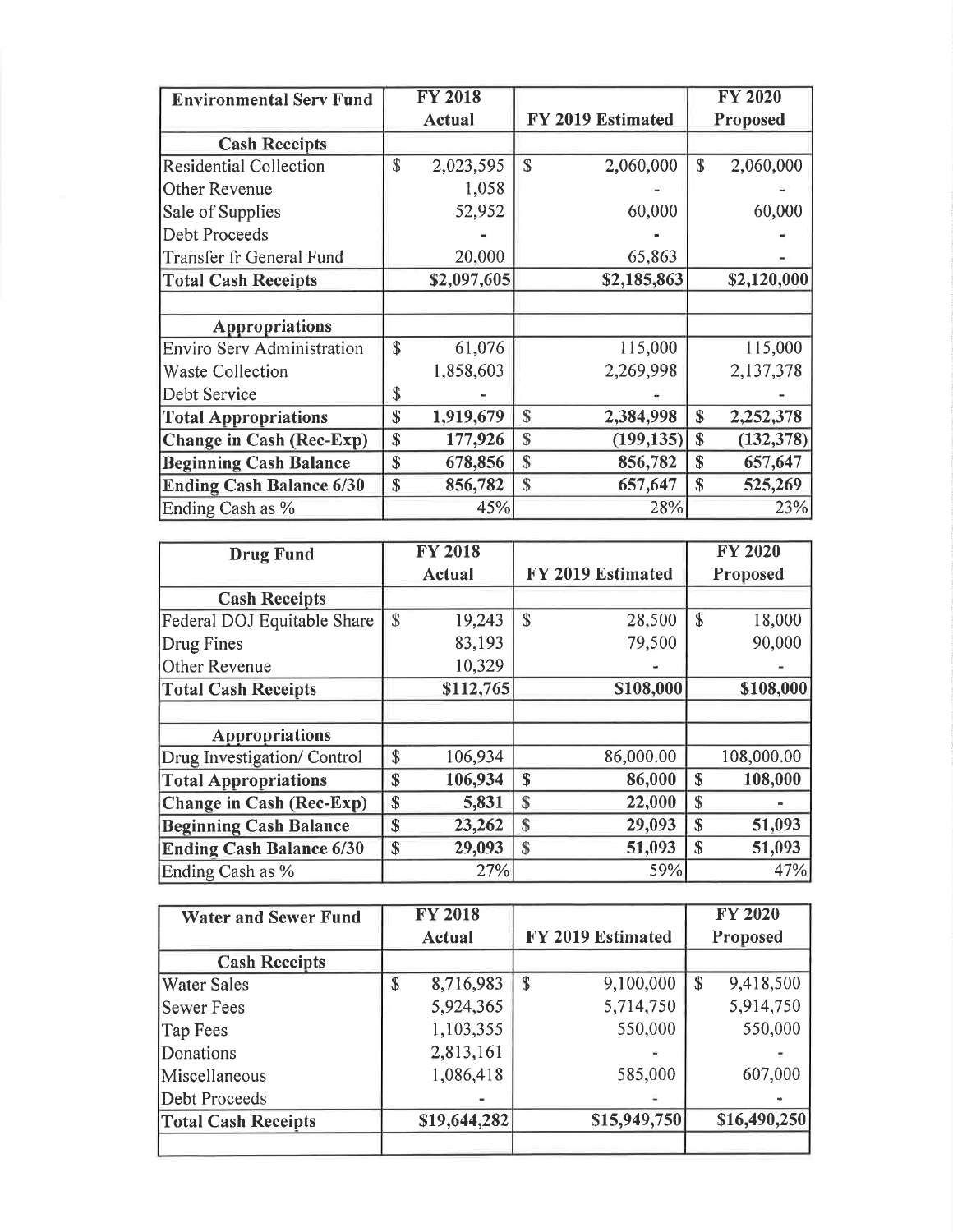| <b>Environmental Serv Fund</b>    |             | <b>FY 2018</b> |                            |              | <b>FY 2020</b> |
|-----------------------------------|-------------|----------------|----------------------------|--------------|----------------|
|                                   |             | <b>Actual</b>  | FY 2019 Estimated          |              | Proposed       |
| <b>Cash Receipts</b>              |             |                |                            |              |                |
| <b>Residential Collection</b>     | \$          | 2,023,595      | \$<br>2,060,000            | \$           | 2,060,000      |
| Other Revenue                     |             | 1,058          |                            |              |                |
| Sale of Supplies                  |             | 52,952         | 60,000                     |              | 60,000         |
| Debt Proceeds                     |             |                |                            |              |                |
| Transfer fr General Fund          |             | 20,000         | 65,863                     |              |                |
| <b>Total Cash Receipts</b>        |             | \$2,097,605    | \$2,185,863                |              | \$2,120,000    |
|                                   |             |                |                            |              |                |
| Appropriations                    |             |                |                            |              |                |
| <b>Enviro Serv Administration</b> | \$          | 61,076         | 115,000                    |              | 115,000        |
| <b>Waste Collection</b>           |             | 1,858,603      | 2,269,998                  |              | 2,137,378      |
| Debt Service                      | \$          |                |                            |              |                |
| <b>Total Appropriations</b>       | \$          | 1,919,679      | $\mathbb{S}$<br>2,384,998  | \$           | 2,252,378      |
| Change in Cash (Rec-Exp)          | \$          | 177,926        | $\mathbb{S}$<br>(199, 135) | \$           | (132, 378)     |
| <b>Beginning Cash Balance</b>     | $\mathbf S$ | 678,856        | $\mathbb{S}$<br>856,782    | S            | 657,647        |
| <b>Ending Cash Balance 6/30</b>   | \$          | 856,782        | $\mathbb{S}$<br>657,647    | $\mathbb{S}$ | 525,269        |
| Ending Cash as %                  |             | 45%            | 28%                        |              | 23%            |

| <b>Drug Fund</b>                |    | <b>FY 2018</b> |               |                   |               | <b>FY 2020</b> |  |
|---------------------------------|----|----------------|---------------|-------------------|---------------|----------------|--|
|                                 |    | Actual         |               | FY 2019 Estimated |               | Proposed       |  |
| <b>Cash Receipts</b>            |    |                |               |                   |               |                |  |
| Federal DOJ Equitable Share     | \$ | 19,243         | $\mathcal{S}$ | 28,500            | $\mathbf{\$}$ | 18,000         |  |
| Drug Fines                      |    | 83,193         |               | 79,500            |               | 90,000         |  |
| Other Revenue                   |    | 10,329         |               |                   |               |                |  |
| <b>Total Cash Receipts</b>      |    | \$112,765      |               | \$108,000         |               | \$108,000      |  |
|                                 |    |                |               |                   |               |                |  |
| <b>Appropriations</b>           |    |                |               |                   |               |                |  |
| Drug Investigation/ Control     | \$ | 106,934        |               | 86,000.00         |               | 108,000.00     |  |
| <b>Total Appropriations</b>     | S  | 106,934        | S             | 86,000            | S             | 108,000        |  |
| Change in Cash (Rec-Exp)        | \$ | 5,831          | \$            | 22,000            | \$            |                |  |
| <b>Beginning Cash Balance</b>   | \$ | 23,262         | $\mathbf S$   | 29,093            | S             | 51,093         |  |
| <b>Ending Cash Balance 6/30</b> | \$ | 29,093         | $\mathbf S$   | 51,093            | S             | 51,093         |  |
| Ending Cash as %                |    | 27%            |               | 59%               |               | 47%            |  |

| <b>Water and Sewer Fund</b> |        | <b>FY 2018</b> |                           |              |          | <b>FY 2020</b> |
|-----------------------------|--------|----------------|---------------------------|--------------|----------|----------------|
|                             | Actual |                | FY 2019 Estimated         |              | Proposed |                |
| <b>Cash Receipts</b>        |        |                |                           |              |          |                |
| Water Sales                 | \$     | 8,716,983      | $\boldsymbol{\mathsf{S}}$ | 9,100,000    | \$       | 9,418,500      |
| <b>Sewer Fees</b>           |        | 5,924,365      |                           | 5,714,750    |          | 5,914,750      |
| Tap Fees                    |        | 1,103,355      |                           | 550,000      |          | 550,000        |
| Donations                   |        | 2,813,161      |                           |              |          |                |
| Miscellaneous               |        | 1,086,418      |                           | 585,000      |          | 607,000        |
| Debt Proceeds               |        |                |                           |              |          |                |
| <b>Total Cash Receipts</b>  |        | \$19,644,282   |                           | \$15,949,750 |          | \$16,490,250   |
|                             |        |                |                           |              |          |                |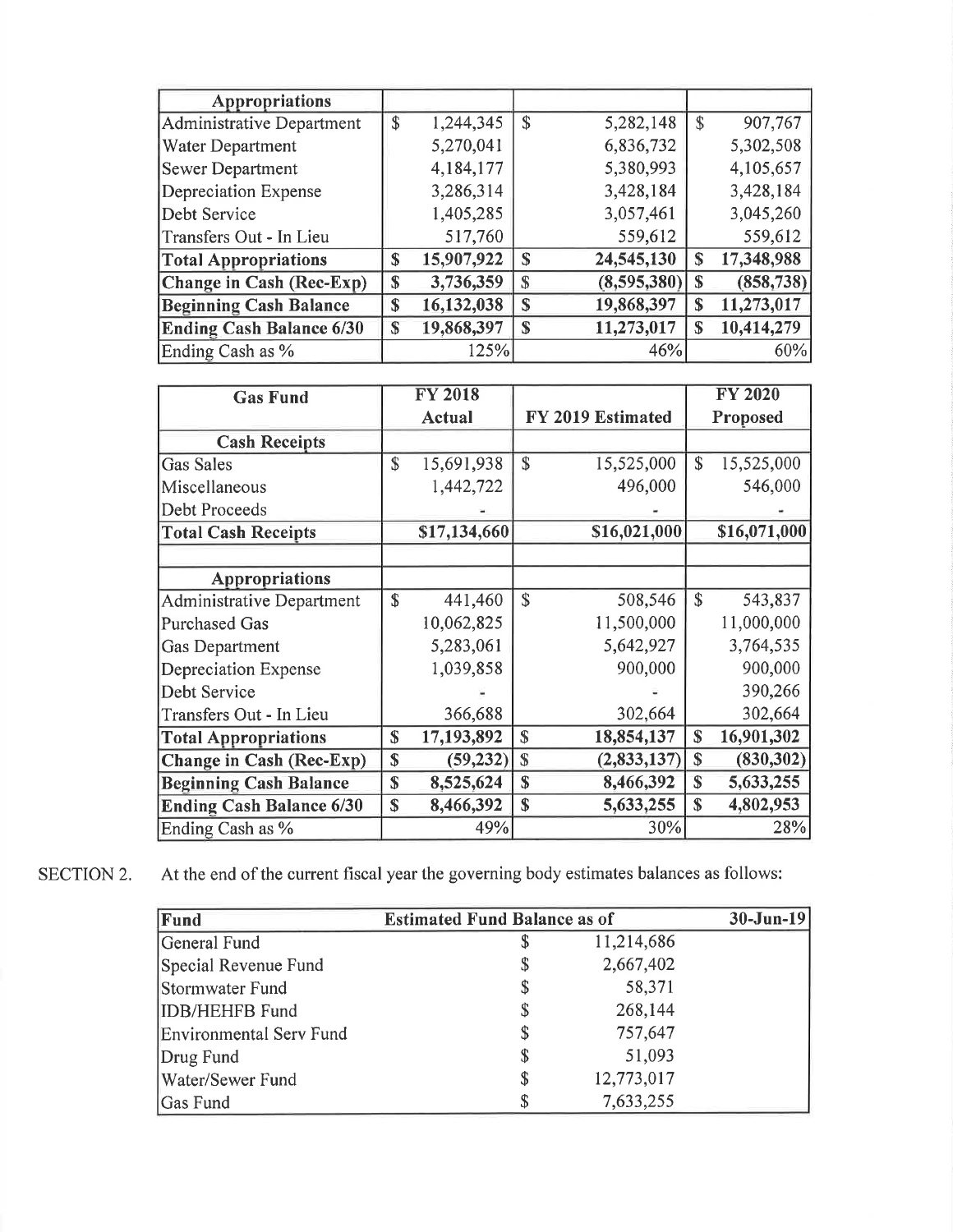| <b>Appropriations</b>           |    |            |               |             |    |            |
|---------------------------------|----|------------|---------------|-------------|----|------------|
| Administrative Department       | \$ | 1,244,345  | \$            | 5,282,148   | \$ | 907,767    |
| Water Department                |    | 5,270,041  |               | 6,836,732   |    | 5,302,508  |
| <b>Sewer Department</b>         |    | 4,184,177  |               | 5,380,993   |    | 4,105,657  |
| Depreciation Expense            |    | 3,286,314  |               | 3,428,184   |    | 3,428,184  |
| Debt Service                    |    | 1,405,285  |               | 3,057,461   |    | 3,045,260  |
| Transfers Out - In Lieu         |    | 517,760    |               | 559,612     |    | 559,612    |
| <b>Total Appropriations</b>     | S  | 15,907,922 | S             | 24,545,130  | S  | 17,348,988 |
| Change in Cash (Rec-Exp)        | S  | 3,736,359  | S             | (8,595,380) | \$ | (858, 738) |
| <b>Beginning Cash Balance</b>   | \$ | 16,132,038 | \$            | 19,868,397  | \$ | 11,273,017 |
| <b>Ending Cash Balance 6/30</b> | S  | 19,868,397 | $\mathbf{\$}$ | 11,273,017  | S  | 10,414,279 |
| Ending Cash as %                |    | 125%       |               | 46%         |    | 60%        |

| <b>Gas Fund</b>                  |              | <b>FY 2018</b> |                   |              |             | <b>FY 2020</b> |
|----------------------------------|--------------|----------------|-------------------|--------------|-------------|----------------|
|                                  |              | Actual         | FY 2019 Estimated |              |             | Proposed       |
| <b>Cash Receipts</b>             |              |                |                   |              |             |                |
| <b>Gas Sales</b>                 | \$           | 15,691,938     | \$                | 15,525,000   | \$          | 15,525,000     |
| Miscellaneous                    |              | 1,442,722      |                   | 496,000      |             | 546,000        |
| Debt Proceeds                    |              |                |                   |              |             |                |
| <b>Total Cash Receipts</b>       |              | \$17,134,660   |                   | \$16,021,000 |             | \$16,071,000   |
|                                  |              |                |                   |              |             |                |
| <b>Appropriations</b>            |              |                |                   |              |             |                |
| <b>Administrative Department</b> | $\mathbf S$  | 441,460        | \$                | 508,546      | \$          | 543,837        |
| <b>Purchased Gas</b>             |              | 10,062,825     |                   | 11,500,000   |             | 11,000,000     |
| <b>Gas Department</b>            |              | 5,283,061      |                   | 5,642,927    |             | 3,764,535      |
| Depreciation Expense             |              | 1,039,858      |                   | 900,000      |             | 900,000        |
| Debt Service                     |              |                |                   |              |             | 390,266        |
| Transfers Out - In Lieu          |              | 366,688        |                   | 302,664      |             | 302,664        |
| <b>Total Appropriations</b>      | $\mathbf S$  | 17,193,892     | $\mathbb{S}$      | 18,854,137   | \$          | 16,901,302     |
| <b>Change in Cash (Rec-Exp)</b>  | S            | (59, 232)      | $\mathbf S$       | (2,833,137)  | \$          | (830, 302)     |
| <b>Beginning Cash Balance</b>    | \$           | 8,525,624      | \$                | 8,466,392    | $\mathbf S$ | 5,633,255      |
| <b>Ending Cash Balance 6/30</b>  | $\mathbb{S}$ | 8,466,392      | \$                | 5,633,255    | \$          | 4,802,953      |
| Ending Cash as %                 |              | 49%            |                   | 30%          |             | 28%            |

SECTION 2. At the end of the current fiscal year the governing body estimates balances as follows:

| Fund                    | <b>Estimated Fund Balance as of</b> | $30-Jun-19$ |  |
|-------------------------|-------------------------------------|-------------|--|
| General Fund            |                                     | 11,214,686  |  |
| Special Revenue Fund    |                                     | 2,667,402   |  |
| Stormwater Fund         | \$                                  | 58,371      |  |
| <b>IDB/HEHFB</b> Fund   | \$                                  | 268,144     |  |
| Environmental Serv Fund | \$                                  | 757,647     |  |
| Drug Fund               | \$                                  | 51,093      |  |
| Water/Sewer Fund        | \$                                  | 12,773,017  |  |
| Gas Fund                | S                                   | 7,633,255   |  |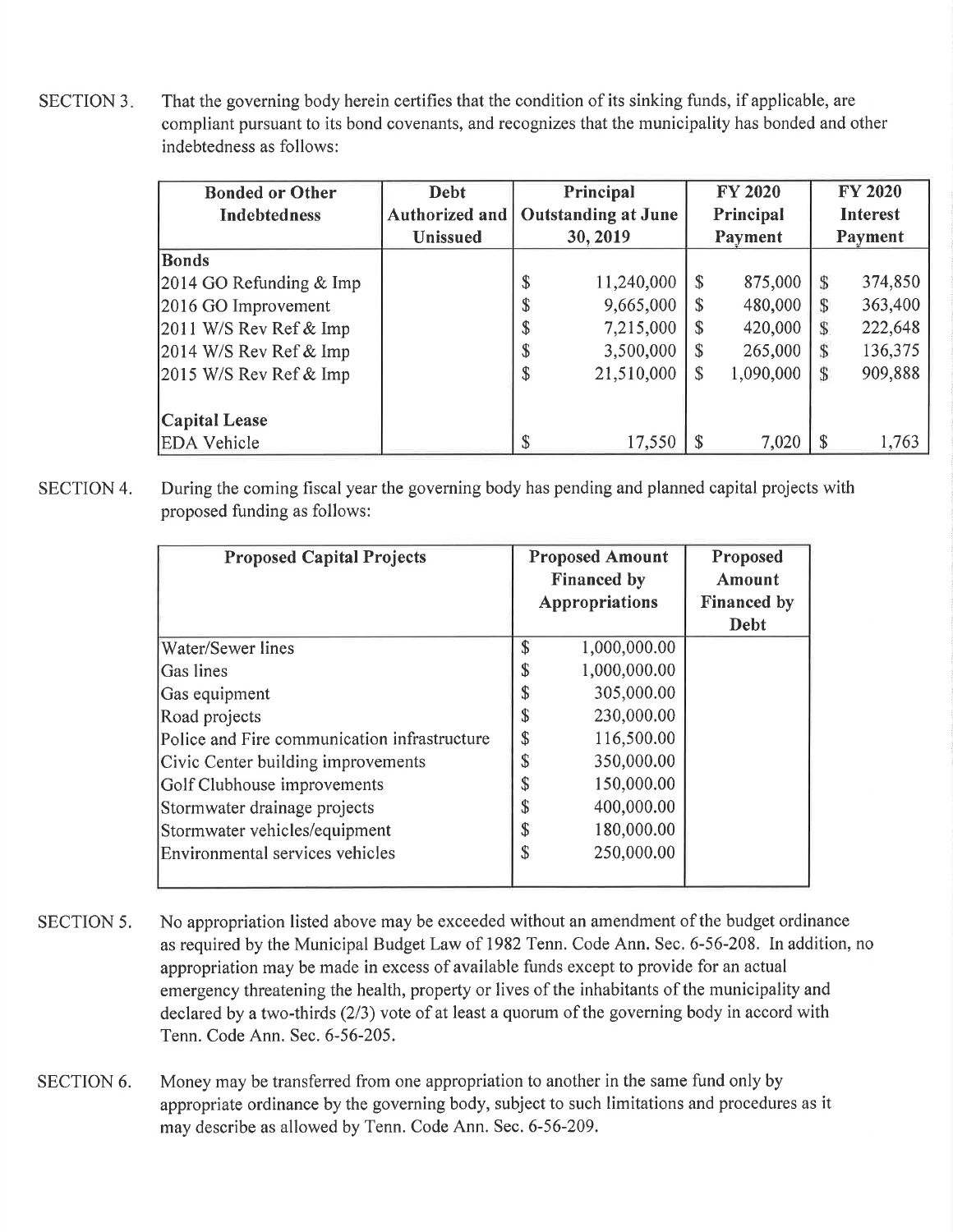SECTION 3. That the governing body herein certifies that the condition of its sinking funds, if applicable, are compliant pursuant to its bond covenants, and recognizes that the municipality has bonded and other indebtedness as follows:

| <b>Bonded or Other</b>    | <b>Debt</b>     |    | Principal                  |                           | <b>FY 2020</b> |   | <b>FY 2020</b>  |
|---------------------------|-----------------|----|----------------------------|---------------------------|----------------|---|-----------------|
| <b>Indebtedness</b>       | Authorized and  |    | <b>Outstanding at June</b> |                           | Principal      |   | <b>Interest</b> |
|                           | <b>Unissued</b> |    | 30, 2019                   |                           | Payment        |   | Payment         |
| <b>Bonds</b>              |                 |    |                            |                           |                |   |                 |
| $2014$ GO Refunding & Imp |                 | \$ | 11,240,000                 | $\mathbf{\$}$             | 875,000        |   | 374,850         |
| 2016 GO Improvement       |                 | J  | 9,665,000                  |                           | 480,000        |   | 363,400         |
| 2011 W/S Rev Ref $&$ Imp  |                 | J  | 7,215,000                  | S                         | 420,000        |   | 222,648         |
| 2014 W/S Rev Ref $&$ Imp  |                 | Φ  | 3,500,000                  | S                         | 265,000        |   | 136,375         |
| $2015$ W/S Rev Ref & Imp  |                 | \$ | 21,510,000                 | $\boldsymbol{\mathsf{S}}$ | 1,090,000      | S | 909,888         |
|                           |                 |    |                            |                           |                |   |                 |
| <b>Capital Lease</b>      |                 |    |                            |                           |                |   |                 |
| <b>EDA Vehicle</b>        |                 |    | 17,550                     |                           | 7,020          |   | 1,763           |

SECTION 4. During the coming fiscal year the governing body has pending and planned capital projects with proposed funding as follows:

| <b>Proposed Capital Projects</b>             | <b>Proposed Amount</b><br><b>Financed by</b><br>Appropriations | Proposed<br><b>Amount</b><br><b>Financed by</b> |
|----------------------------------------------|----------------------------------------------------------------|-------------------------------------------------|
|                                              |                                                                | Debt                                            |
| Water/Sewer lines                            | \$<br>1,000,000.00                                             |                                                 |
| Gas lines                                    | \$<br>1,000,000.00                                             |                                                 |
| Gas equipment                                | \$<br>305,000.00                                               |                                                 |
| Road projects                                | \$<br>230,000.00                                               |                                                 |
| Police and Fire communication infrastructure | \$<br>116,500.00                                               |                                                 |
| Civic Center building improvements           | \$<br>350,000.00                                               |                                                 |
| Golf Clubhouse improvements                  | \$<br>150,000.00                                               |                                                 |
| Stormwater drainage projects                 | \$<br>400,000.00                                               |                                                 |
| Stormwater vehicles/equipment                | \$<br>180,000.00                                               |                                                 |
| Environmental services vehicles              | \$<br>250,000.00                                               |                                                 |
|                                              |                                                                |                                                 |

- SECTION 5. No appropriation listed above may be exceeded without an amendment of the budget ordinance as required by the Municipal Budget Law of 1982 Tenn. Code Ann. Sec. 6-56-208. In addition, no appropriation may be made in excess of available funds except to provide for an actual emergency threatening the health, property or lives of the inhabitants of the municipality and declared by a two-thirds  $(2/3)$  vote of at least a quorum of the governing body in accord with Tenn. Code Ann. Sec. 6-56-205.
- Money may be transferred from one appropriation to another in the same fund only by appropriate ordinance by the governing body, subject to such limitations and procedures as it may describe as allowed by Tenn. Code Ann. Sec. 6-56-209. SECTION 6.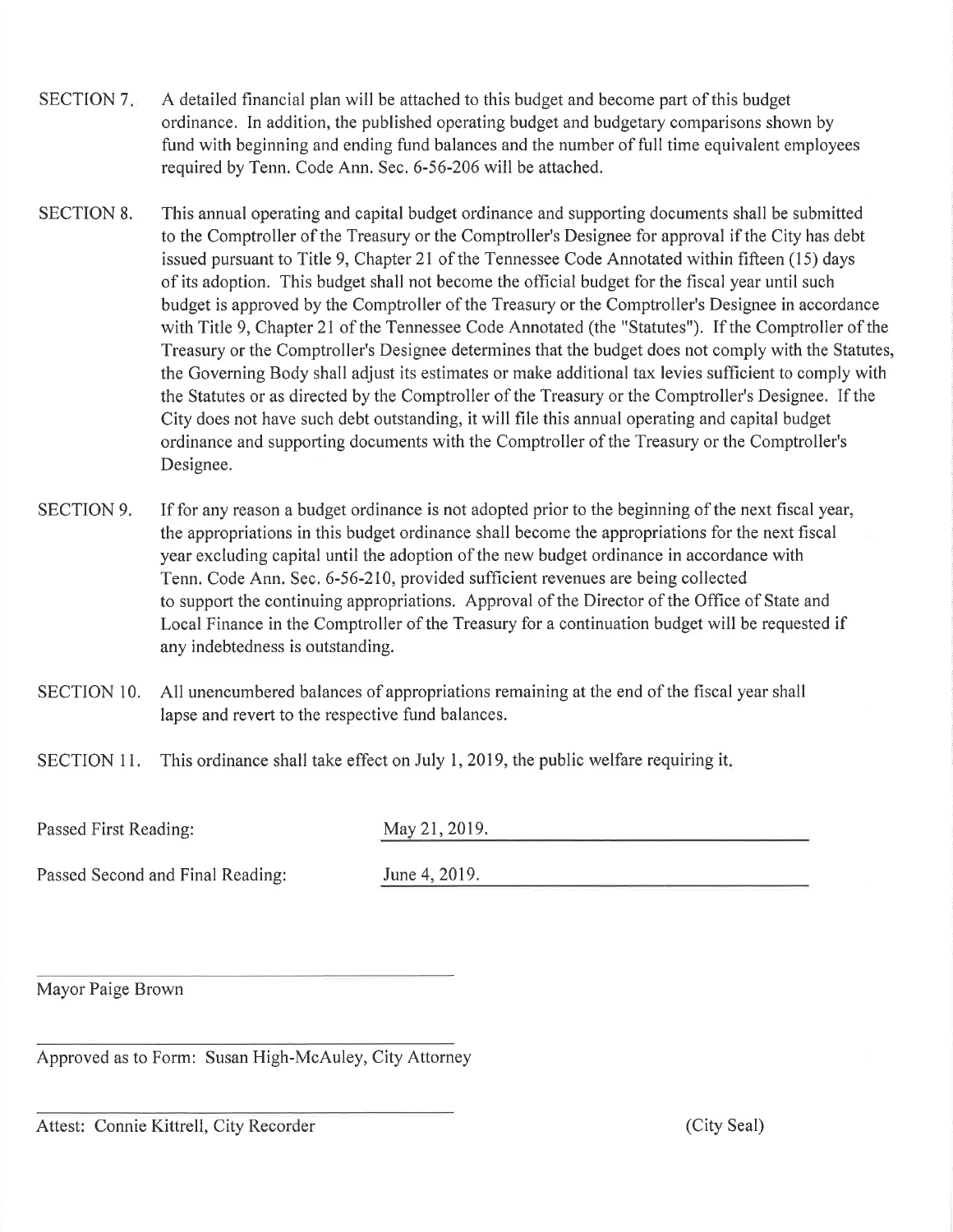- SECTION 7. A detailed financial plan will be attached to this budget and become part of this budget ordinance. In addition, the published operating budget and budgetary comparisons shown by fund with beginning and ending fund balances and the number of full time equivalent employees required by Tenn. Code Ann. Sec. 6-56-206 will be attached.
- SECTION 8. This annual operating and capital budget ordinance and supporting documents shall be submitted to the Comptroller of the Treasury or the Comptroller's Designee for approval if the City has debt issued pursuant to Title 9, Chapter 21 of the Tennessee Code Annotated within fifteen (15) days of its adoption. This budget shall not become the official budget for the fiscal year until such budget is approved by the Comptroller of the Treasury or the Comptroller's Designee in accordance with Title 9, Chapter 2l of the Tennessee Code Annotated (the "Statutes"). If the Comptroller of the Treasury or the Comptroller's Designee determines that the budget does not comply with the Statutes, the Governing Body shall adjust its estimates or make additional tax levies sufficient to comply with the Statutes or as directed by the Comptroller of the Treasury or the Comptroller's Designee. If the City does not have such debt outstanding, it will file this annual operating and capital budget ordinance and supporting documents with the Comptroller of the Treasury or the Comptroller's Designee.
- SECTION 9. If for any reason a budget ordinance is not adopted prior to the beginning of the next fiscal year, the appropriations in this budget ordinance shall become the appropriations for the next fiscal year excluding capital until the adoption of the new budget ordinance in accordance with Tenn. Code Ann. Sec. 6-56-210, provided sufficient revenues are being collected to support the continuing appropriations, Approval of the Director of the Office of State and Local Finance in the Comptroller of the Treasury for a continuation budget will be requested if any indebtedness is outstanding.
- SECTION 10. All unencumbered balances of appropriations remaining at the end of the fiscal year shall lapse and revert to the respective fund balances.
- SECTION 11. This ordinance shall take effect on July 1, 2019, the public welfare requiring it.

Passed First Reading:

| May 21, 2019. |  |
|---------------|--|
|---------------|--|

Passed Second and Final Reading:  $J_1$ 

| June 4, 2019. |  |
|---------------|--|
|---------------|--|

Mayor Paige Brown

Approved as to Form: Susan High-McAuley, City Attorney

Attest: Connie Kittrell, City Recorder (City Seal)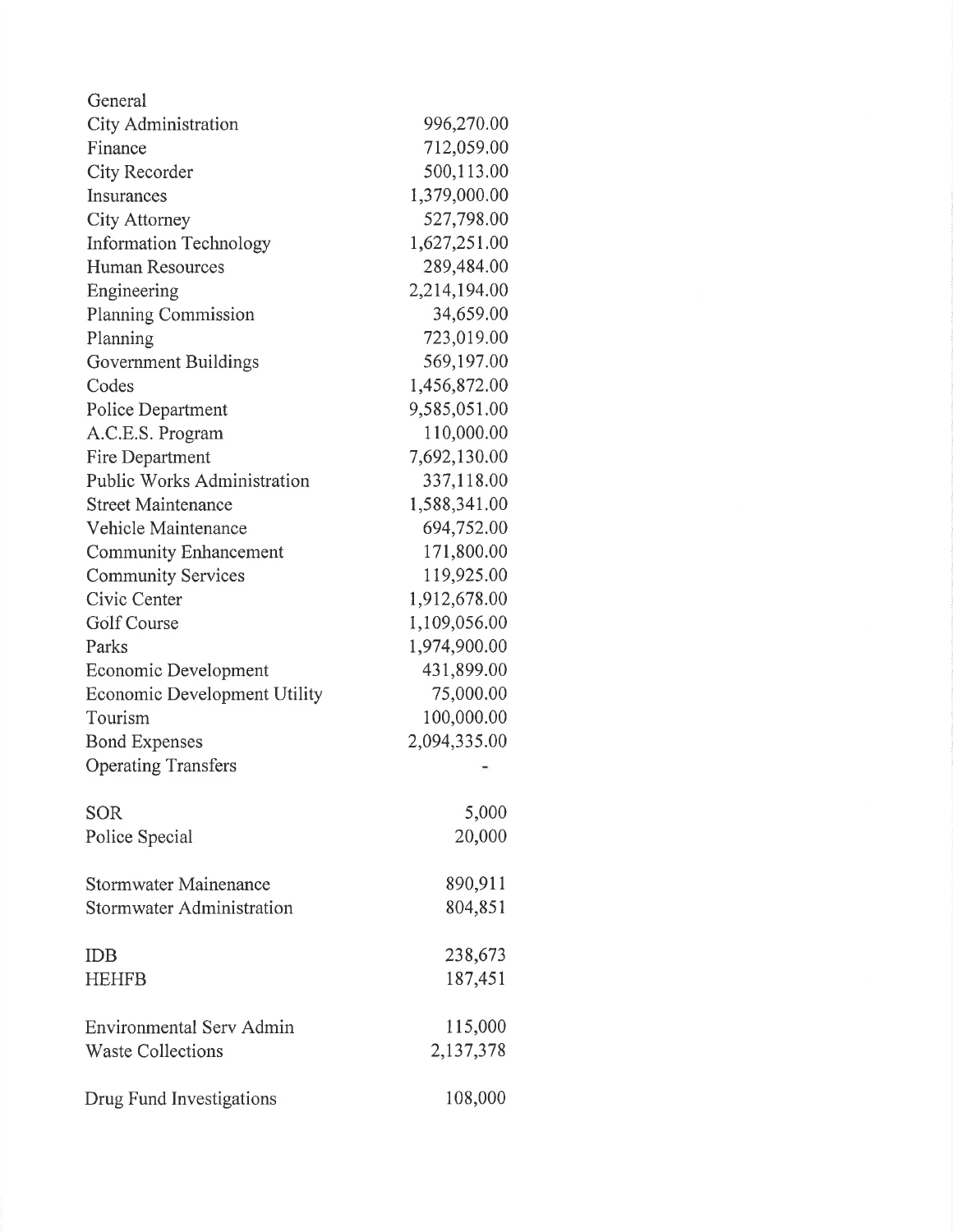| General                            |              |
|------------------------------------|--------------|
| <b>City Administration</b>         | 996,270.00   |
| Finance                            | 712,059.00   |
| City Recorder                      | 500,113.00   |
| Insurances                         | 1,379,000.00 |
| City Attorney                      | 527,798.00   |
| <b>Information Technology</b>      | 1,627,251.00 |
| <b>Human Resources</b>             | 289,484.00   |
| Engineering                        | 2,214,194.00 |
| <b>Planning Commission</b>         | 34,659.00    |
| Planning                           | 723,019.00   |
| Government Buildings               | 569,197.00   |
| Codes                              | 1,456,872.00 |
| Police Department                  | 9,585,051.00 |
| A.C.E.S. Program                   | 110,000.00   |
| Fire Department                    | 7,692,130.00 |
| <b>Public Works Administration</b> | 337,118.00   |
| <b>Street Maintenance</b>          | 1,588,341.00 |
| Vehicle Maintenance                | 694,752.00   |
| <b>Community Enhancement</b>       | 171,800.00   |
| <b>Community Services</b>          | 119,925.00   |
| Civic Center                       | 1,912,678.00 |
| Golf Course                        | 1,109,056.00 |
| Parks                              | 1,974,900.00 |
| Economic Development               | 431,899.00   |
| Economic Development Utility       | 75,000.00    |
| Tourism                            | 100,000.00   |
| <b>Bond Expenses</b>               | 2,094,335.00 |
| <b>Operating Transfers</b>         |              |
| <b>SOR</b>                         | 5,000        |
| Police Special                     | 20,000       |
| <b>Stormwater Mainenance</b>       | 890,911      |
| Stormwater Administration          | 804,851      |
| <b>IDB</b>                         | 238,673      |
| <b>HEHFB</b>                       | 187,451      |
| Environmental Serv Admin           | 115,000      |
| <b>Waste Collections</b>           | 2,137,378    |
| Drug Fund Investigations           | 108,000      |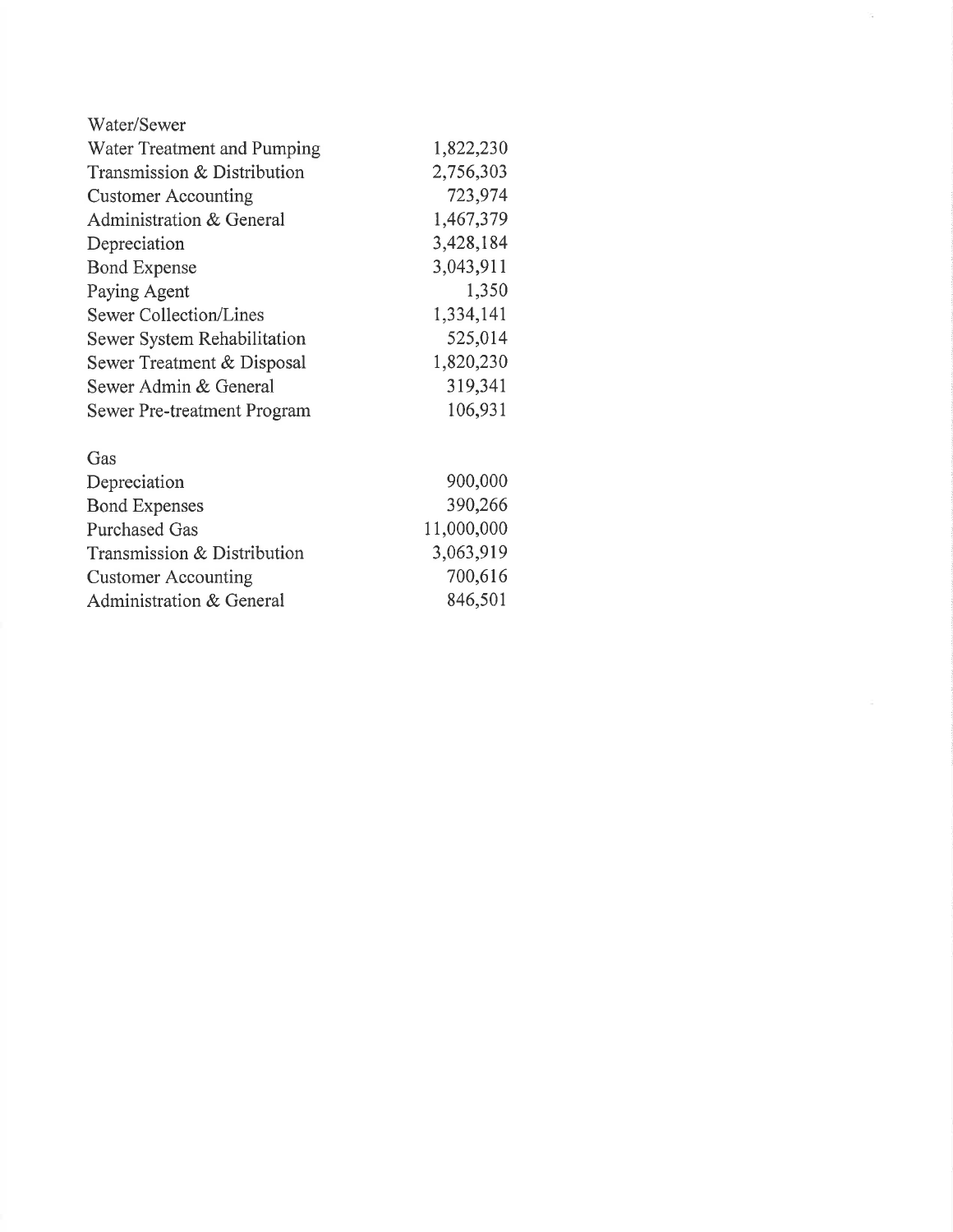| Water/Sewer                 |           |
|-----------------------------|-----------|
| Water Treatment and Pumping | 1,822,230 |
| Transmission & Distribution | 2,756,303 |
| <b>Customer Accounting</b>  | 723,974   |
| Administration & General    | 1,467,379 |
| Depreciation                | 3,428,184 |
| <b>Bond Expense</b>         | 3,043,911 |
| Paying Agent                | 1,350     |
| Sewer Collection/Lines      | 1,334,141 |
| Sewer System Rehabilitation | 525,014   |
| Sewer Treatment & Disposal  | 1,820,230 |
| Sewer Admin & General       | 319,341   |
| Sewer Pre-treatment Program | 106,931   |
| Gas                         |           |
| Depreciation                | 900,000   |
| <b>Bond Expenses</b>        | 390,266   |

11,000,000 3,063,919 700,616 846,501

 $\overline{\alpha}$ 

Purchased Gas

Transmission & Distribution

Customer Accounting Administration & General